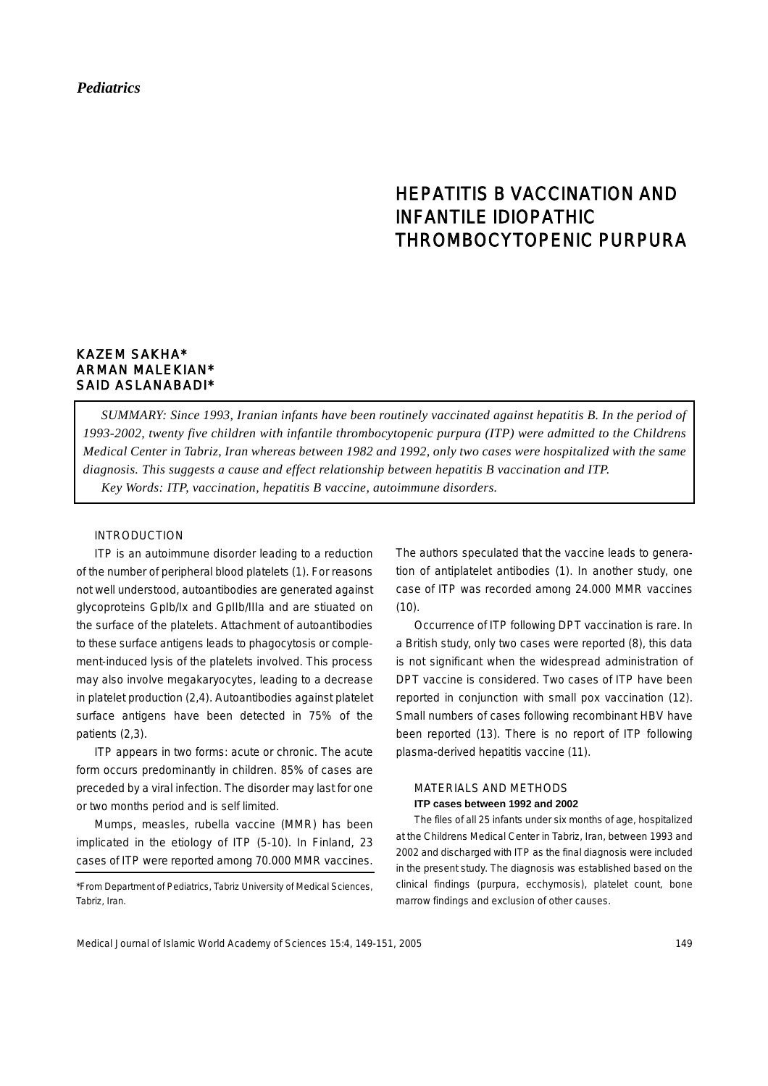## *Pediatrics*

# HEPATITIS B VACCINATION AND INFANTILE IDIOPATHIC THROMBOCYTOPENIC PURPURA

## KAZEM SAKHA\* ARMAN MALEKIAN\* SAID ASLANABADI\*

*SUMMARY: Since 1993, Iranian infants have been routinely vaccinated against hepatitis B. In the period of 1993-2002, twenty five children with infantile thrombocytopenic purpura (ITP) were admitted to the Childrens Medical Center in Tabriz, Iran whereas between 1982 and 1992, only two cases were hospitalized with the same diagnosis. This suggests a cause and effect relationship between hepatitis B vaccination and ITP. Key Words: ITP, vaccination, hepatitis B vaccine, autoimmune disorders.*

### INTRODUCTION

ITP is an autoimmune disorder leading to a reduction of the number of peripheral blood platelets (1). For reasons not well understood, autoantibodies are generated against glycoproteins GpIb/Ix and GpIIb/IIIa and are stiuated on the surface of the platelets. Attachment of autoantibodies to these surface antigens leads to phagocytosis or complement-induced lysis of the platelets involved. This process may also involve megakaryocytes, leading to a decrease in platelet production (2,4). Autoantibodies against platelet surface antigens have been detected in 75% of the patients (2,3).

ITP appears in two forms: acute or chronic. The acute form occurs predominantly in children. 85% of cases are preceded by a viral infection. The disorder may last for one or two months period and is self limited.

Mumps, measles, rubella vaccine (MMR) has been implicated in the etiology of ITP (5-10). In Finland, 23 cases of ITP were reported among 70.000 MMR vaccines.

The authors speculated that the vaccine leads to generation of antiplatelet antibodies (1). In another study, one case of ITP was recorded among 24.000 MMR vaccines  $(10).$ 

Occurrence of ITP following DPT vaccination is rare. In a British study, only two cases were reported (8), this data is not significant when the widespread administration of DPT vaccine is considered. Two cases of ITP have been reported in conjunction with small pox vaccination (12). Small numbers of cases following recombinant HBV have been reported (13). There is no report of ITP following plasma-derived hepatitis vaccine (11).

### MATERIALS AND METHODS **ITP cases between 1992 and 2002**

The files of all 25 infants under six months of age, hospitalized at the Childrens Medical Center in Tabriz, Iran, between 1993 and 2002 and discharged with ITP as the final diagnosis were included in the present study. The diagnosis was established based on the clinical findings (purpura, ecchymosis), platelet count, bone marrow findings and exclusion of other causes.

<sup>\*</sup>From Department of Pediatrics, Tabriz University of Medical Sciences, Tabriz, Iran.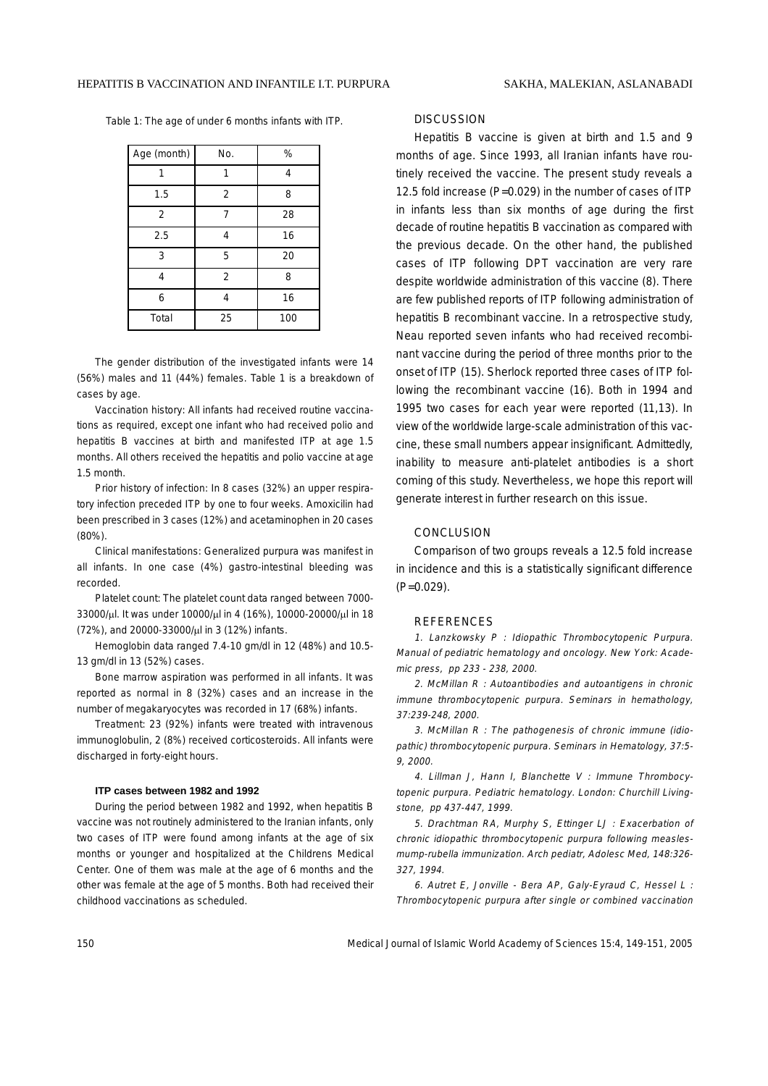Table 1: The age of under 6 months infants with ITP.

| Age (month)    | No.            | %   |
|----------------|----------------|-----|
|                |                | 4   |
| 1.5            | $\overline{2}$ | 8   |
| $\overline{2}$ |                | 28  |
| 2.5            | 4              | 16  |
| 3              | 5              | 20  |
| 4              | $\overline{2}$ | 8   |
| 6              | 4              | 16  |
| Total          | 25             | 100 |

The gender distribution of the investigated infants were 14 (56%) males and 11 (44%) females. Table 1 is a breakdown of cases by age.

Vaccination history: All infants had received routine vaccinations as required, except one infant who had received polio and hepatitis B vaccines at birth and manifested ITP at age 1.5 months. All others received the hepatitis and polio vaccine at age 1.5 month.

Prior history of infection: In 8 cases (32%) an upper respiratory infection preceded ITP by one to four weeks. Amoxicilin had been prescribed in 3 cases (12%) and acetaminophen in 20 cases (80%).

Clinical manifestations: Generalized purpura was manifest in all infants. In one case (4%) gastro-intestinal bleeding was recorded.

Platelet count: The platelet count data ranged between 7000- 33000/µl. It was under 10000/µl in 4 (16%), 10000-20000/µl in 18 (72%), and 20000-33000/µl in 3 (12%) infants.

Hemoglobin data ranged 7.4-10 gm/dl in 12 (48%) and 10.5- 13 gm/dl in 13 (52%) cases.

Bone marrow aspiration was performed in all infants. It was reported as normal in 8 (32%) cases and an increase in the number of megakaryocytes was recorded in 17 (68%) infants.

Treatment: 23 (92%) infants were treated with intravenous immunoglobulin, 2 (8%) received corticosteroids. All infants were discharged in forty-eight hours.

#### **ITP cases between 1982 and 1992**

During the period between 1982 and 1992, when hepatitis B vaccine was not routinely administered to the Iranian infants, only two cases of ITP were found among infants at the age of six months or younger and hospitalized at the Childrens Medical Center. One of them was male at the age of 6 months and the other was female at the age of 5 months. Both had received their childhood vaccinations as scheduled.

### **DISCUSSION**

Hepatitis B vaccine is given at birth and 1.5 and 9 months of age. Since 1993, all Iranian infants have routinely received the vaccine. The present study reveals a 12.5 fold increase (P=0.029) in the number of cases of ITP in infants less than six months of age during the first decade of routine hepatitis B vaccination as compared with the previous decade. On the other hand, the published cases of ITP following DPT vaccination are very rare despite worldwide administration of this vaccine (8). There are few published reports of ITP following administration of hepatitis B recombinant vaccine. In a retrospective study, Neau reported seven infants who had received recombinant vaccine during the period of three months prior to the onset of ITP (15). Sherlock reported three cases of ITP following the recombinant vaccine (16). Both in 1994 and 1995 two cases for each year were reported (11,13). In view of the worldwide large-scale administration of this vaccine, these small numbers appear insignificant. Admittedly, inability to measure anti-platelet antibodies is a short coming of this study. Nevertheless, we hope this report will generate interest in further research on this issue.

### **CONCLUSION**

Comparison of two groups reveals a 12.5 fold increase in incidence and this is a statistically significant difference (P=0.029).

### REFERENCES

1. Lanzkowsky P : Idiopathic Thrombocytopenic Purpura. Manual of pediatric hematology and oncology. New York: Academic press, pp 233 - 238, 2000.

2. McMillan R : Autoantibodies and autoantigens in chronic immune thrombocytopenic purpura. Seminars in hemathology, 37:239-248, 2000.

3. McMillan R : The pathogenesis of chronic immune (idiopathic) thrombocytopenic purpura. Seminars in Hematology, 37:5- 9, 2000.

4. Lillman J, Hann I, Blanchette V : Immune Thrombocytopenic purpura. Pediatric hematology. London: Churchill Livingstone, pp 437-447, 1999.

5. Drachtman RA, Murphy S, Ettinger LJ : Exacerbation of chronic idiopathic thrombocytopenic purpura following measlesmump-rubella immunization. Arch pediatr, Adolesc Med, 148:326- 327, 1994.

6. Autret E, Jonville - Bera AP, Galy-Eyraud C, Hessel L : Thrombocytopenic purpura after single or combined vaccination